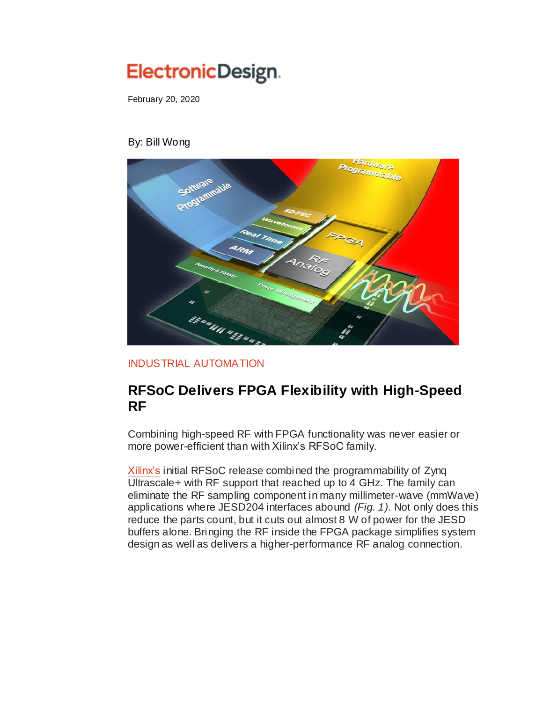## ElectronicDesign.

February 20, 2020

## By: Bill Wong



[INDUSTRIAL AUTOMATION](https://www.electronicdesign.com/industrial-automation)

## **RFSoC Delivers FPGA Flexibility with High-Speed RF**

Combining high-speed RF with FPGA functionality was never easier or more power-efficient than with Xilinx's RFSoC family.

[Xilinx's](https://sourceesb.com/xilinx/distributors-and-vendors) initial RFSoC release combined the programmability of Zynq Ultrascale+ with RF support that reached up to 4 GHz. The family can eliminate the RF sampling component in many millimeter-wave (mmWave) applications where JESD204 interfaces abound *(Fig. 1)*. Not only does this reduce the parts count, but it cuts out almost 8 W of power for the JESD buffers alone. Bringing the RF inside the FPGA package simplifies system design as well as delivers a higher-performance RF analog connection.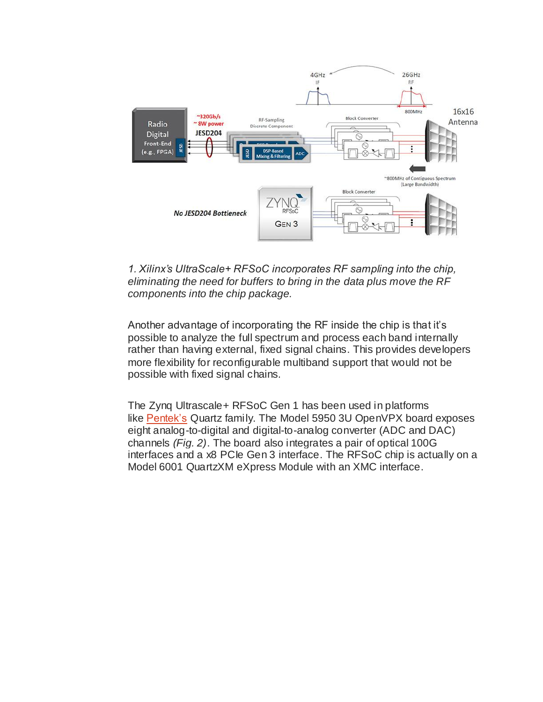

## *1. Xilinx's UltraScale+ RFSoC incorporates RF sampling into the chip, eliminating the need for buffers to bring in the data plus move the RF components into the chip package.*

Another advantage of incorporating the RF inside the chip is that it's possible to analyze the full spectrum and process each band internally rather than having external, fixed signal chains. This provides developers more flexibility for reconfigurable multiband support that would not be possible with fixed signal chains.

The Zynq Ultrascale+ RFSoC Gen 1 has been used in platforms like [Pentek's](https://sourceesb.com/pentek/distributors-and-vendors) Quartz family. The Model 5950 3U OpenVPX board exposes eight analog-to-digital and digital-to-analog converter (ADC and DAC) channels *(Fig. 2)*. The board also integrates a pair of optical 100G interfaces and a x8 PCIe Gen 3 interface. The RFSoC chip is actually on a Model 6001 QuartzXM eXpress Module with an XMC interface.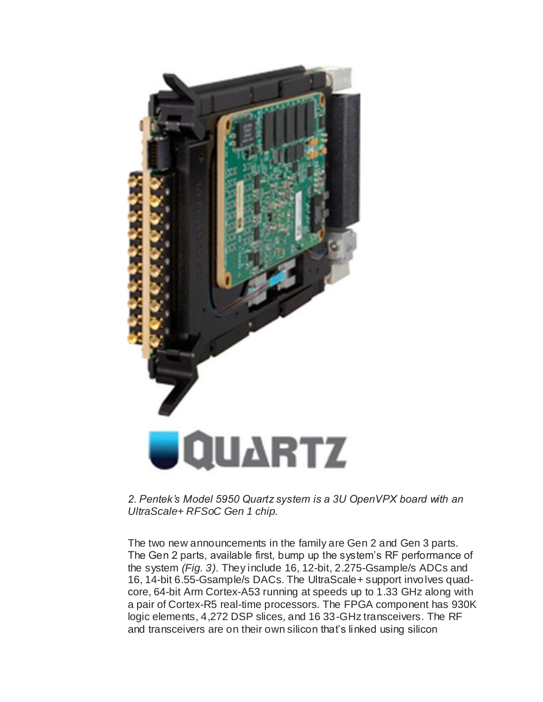

*2. Pentek's Model 5950 Quartz system is a 3U OpenVPX board with an UltraScale+ RFSoC Gen 1 chip.*

The two new announcements in the family are Gen 2 and Gen 3 parts. The Gen 2 parts, available first, bump up the system's RF performance of the system *(Fig. 3)*. They include 16, 12-bit, 2.275-Gsample/s ADCs and 16, 14-bit 6.55-Gsample/s DACs. The UltraScale+ support involves quadcore, 64-bit Arm Cortex-A53 running at speeds up to 1.33 GHz along with a pair of Cortex-R5 real-time processors. The FPGA component has 930K logic elements, 4,272 DSP slices, and 16 33-GHz transceivers. The RF and transceivers are on their own silicon that's linked using silicon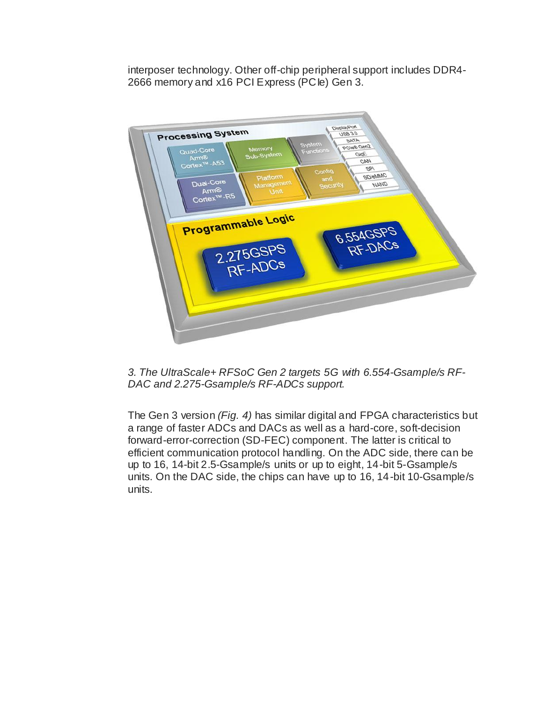interposer technology. Other off-chip peripheral support includes DDR4- 2666 memory and x16 PCI Express (PCIe) Gen 3.



*3. The UltraScale+ RFSoC Gen 2 targets 5G with 6.554-Gsample/s RF-DAC and 2.275-Gsample/s RF-ADCs support.*

The Gen 3 version *(Fig. 4)* has similar digital and FPGA characteristics but a range of faster ADCs and DACs as well as a hard-core, soft-decision forward-error-correction (SD-FEC) component. The latter is critical to efficient communication protocol handling. On the ADC side, there can be up to 16, 14-bit 2.5-Gsample/s units or up to eight, 14-bit 5-Gsample/s units. On the DAC side, the chips can have up to 16, 14-bit 10-Gsample/s units.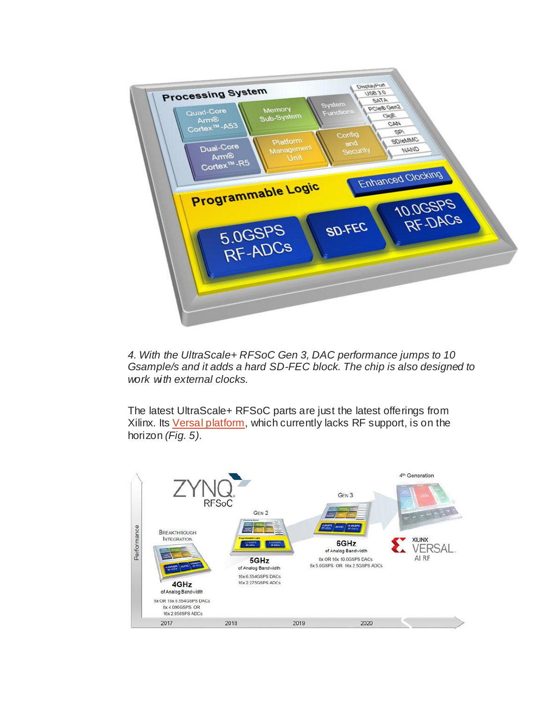

*4. With the UltraScale+ RFSoC Gen 3, DAC performance jumps to 10 Gsample/s and it adds a hard SD-FEC block. The chip is also designed to work with external clocks.*

The latest UltraScale+ RFSoC parts are just the latest offerings from Xilinx. Its [Versal platform,](https://www.electronicdesign.com/embedded-revolution/versal-new-level-compute-configurability) which currently lacks RF support, is on the horizon *(Fig. 5)*.